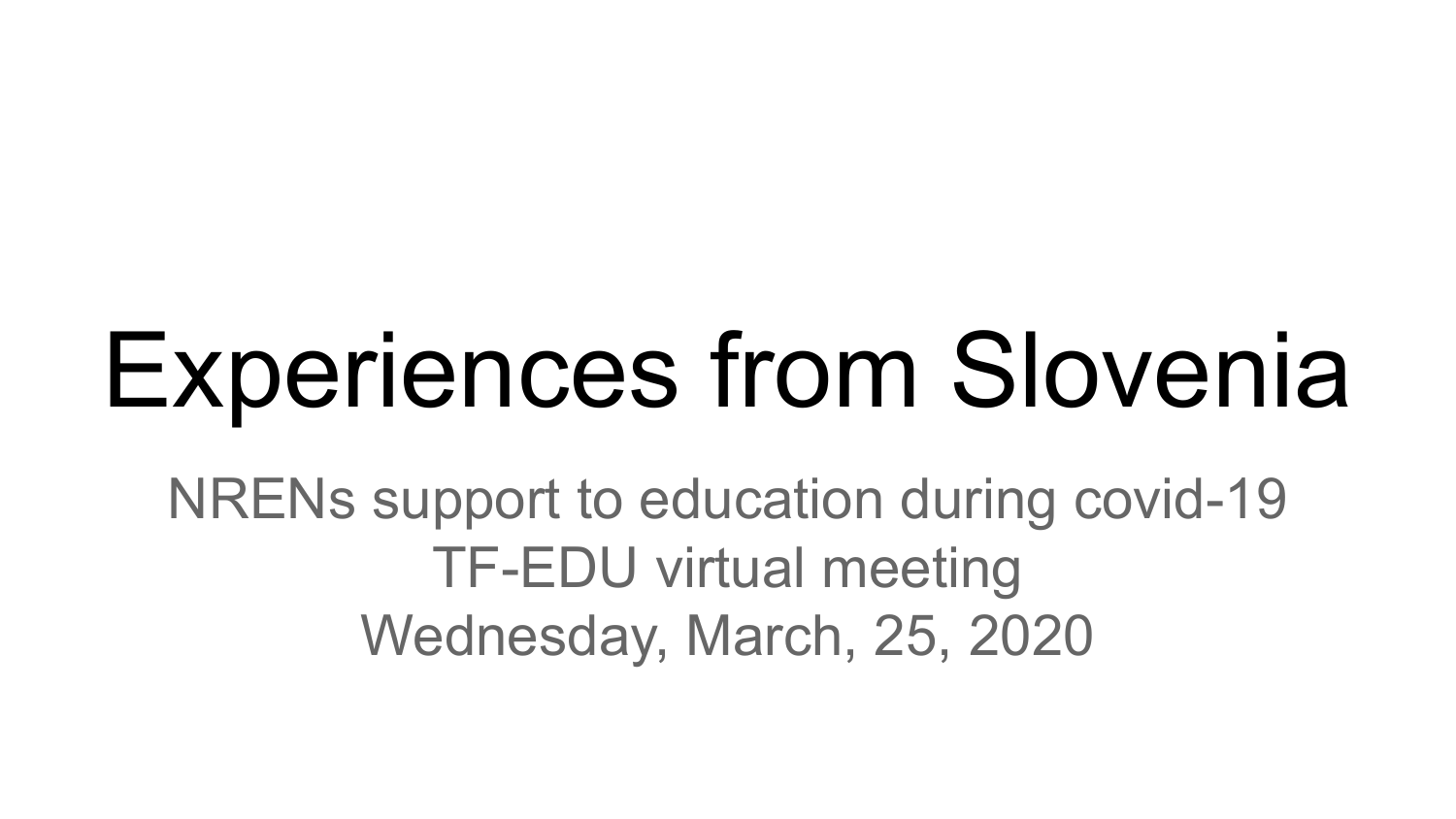# Experiences from Slovenia

NRENs support to education during covid-19 TF-EDU virtual meeting Wednesday, March, 25, 2020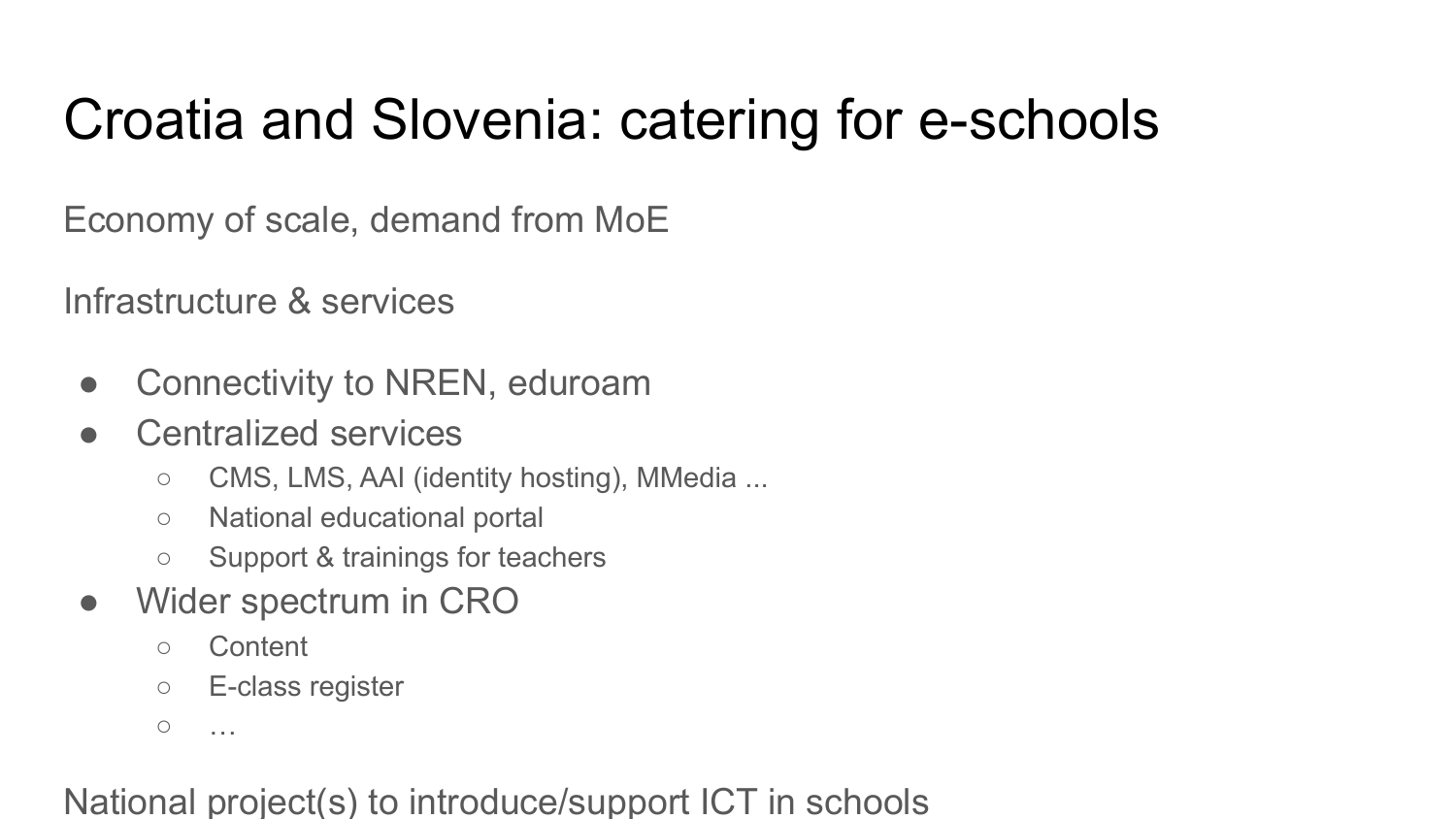## Croatia and Slovenia: catering for e-schools

Economy of scale, demand from MoE

Infrastructure & services

- Connectivity to NREN, eduroam
- Centralized services
	- CMS, LMS, AAI (identity hosting), MMedia ...
	- National educational portal
	- Support & trainings for teachers
- Wider spectrum in CRO
	- Content
	- E-class register

 $\circ$  …

#### National project(s) to introduce/support ICT in schools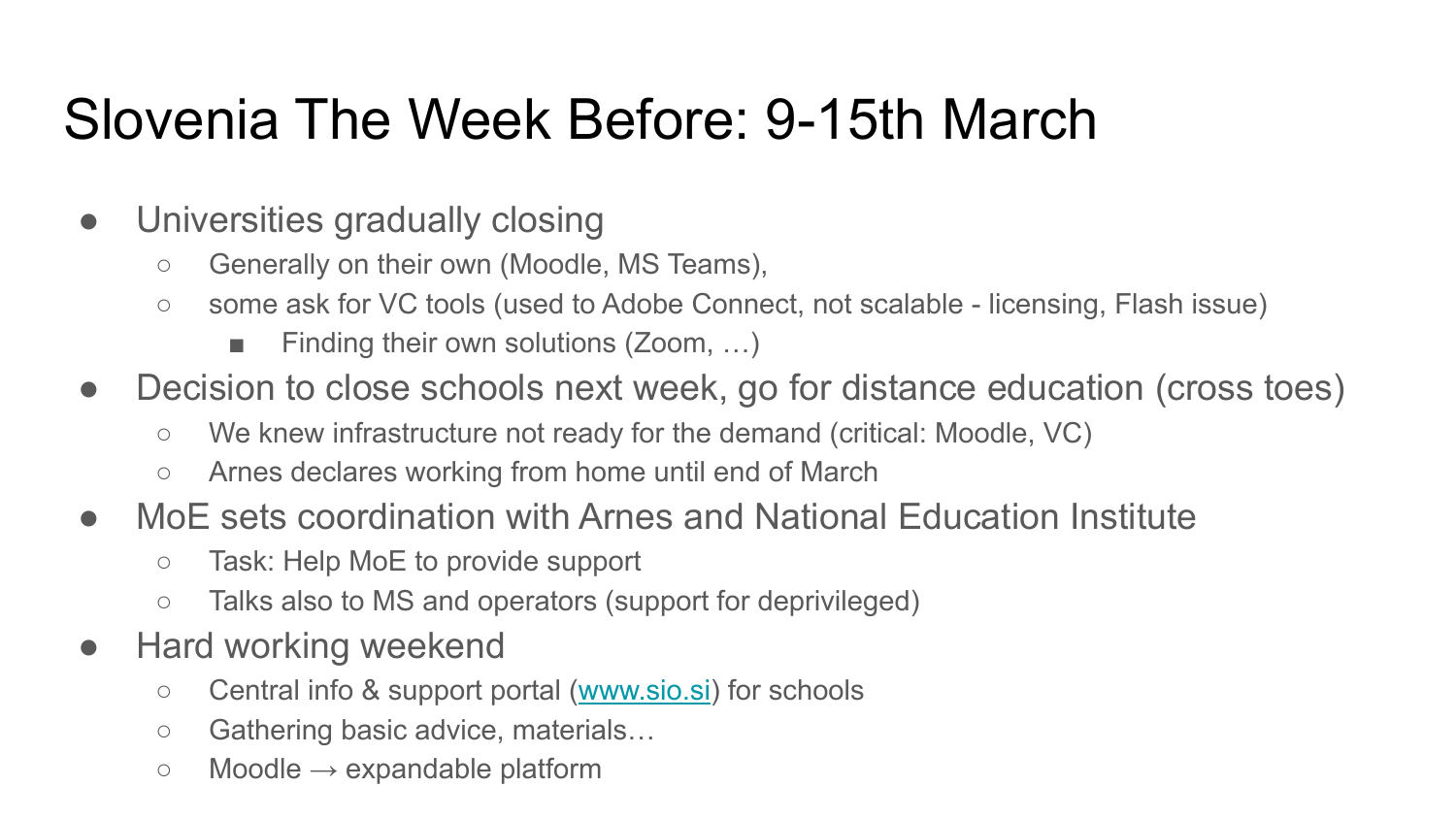## Slovenia The Week Before: 9-15th March

- Universities gradually closing
	- Generally on their own (Moodle, MS Teams),
	- some ask for VC tools (used to Adobe Connect, not scalable licensing, Flash issue)
		- Finding their own solutions (Zoom, ...)
- Decision to close schools next week, go for distance education (cross toes)
	- We knew infrastructure not ready for the demand (critical: Moodle, VC)
	- Arnes declares working from home until end of March
- MoE sets coordination with Arnes and National Education Institute
	- Task: Help MoE to provide support
	- Talks also to MS and operators (support for deprivileged)
- Hard working weekend
	- Central info & support portal [\(www.sio.si](http://www.sio.si)) for schools
	- Gathering basic advice, materials…
	- $\circ$  Moodle  $\rightarrow$  expandable platform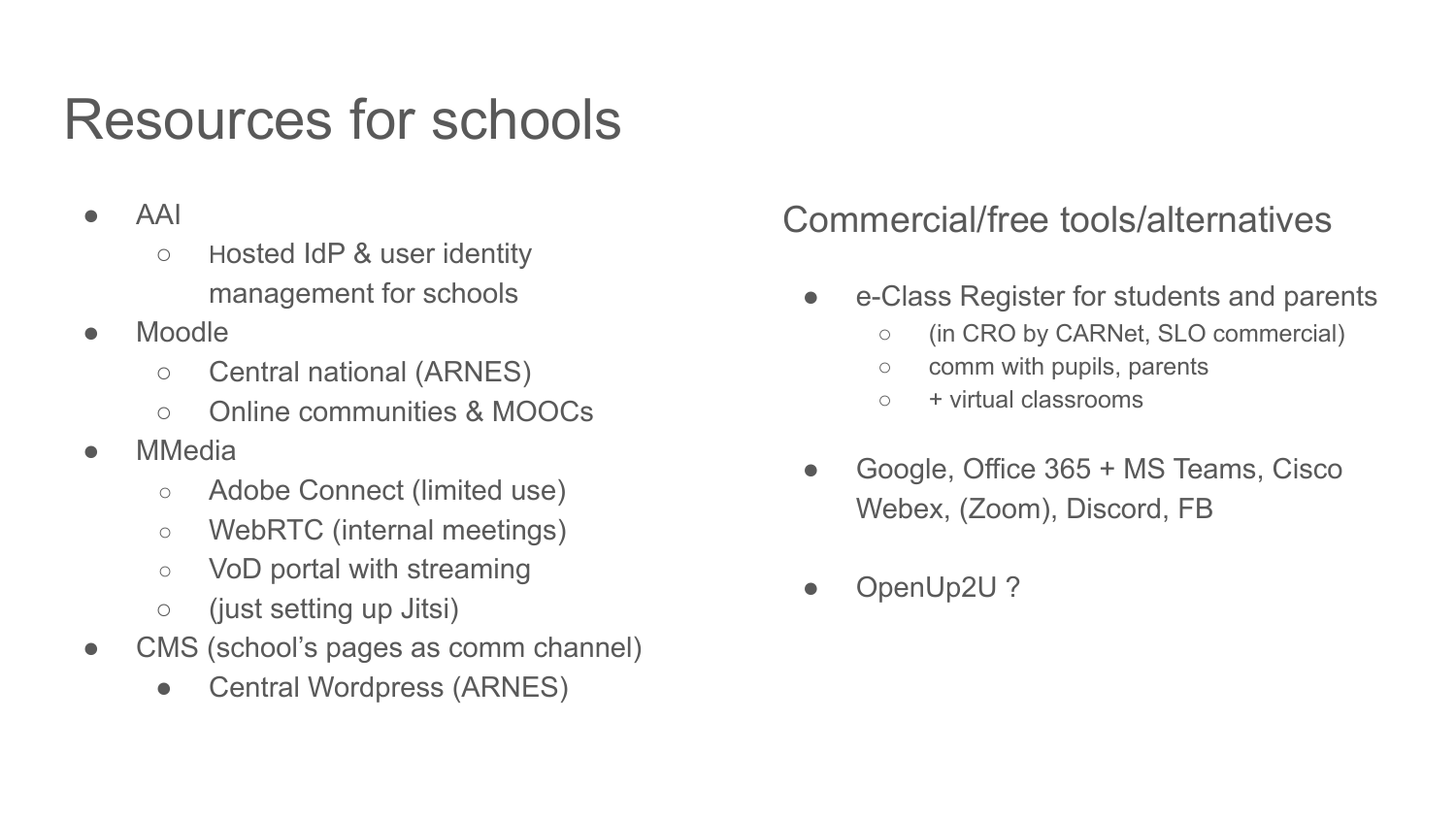## Resources for schools

#### ● AAI

- Hosted IdP & user identity management for schools
- Moodle
	- Central national (ARNES)
	- Online communities & MOOCs
- **MMedia** 
	- Adobe Connect (limited use)
	- WebRTC (internal meetings)
	- VoD portal with streaming
	- (just setting up Jitsi)
- CMS (school's pages as comm channel)
	- Central Wordpress (ARNES)

### Commercial/free tools/alternatives

- e-Class Register for students and parents
	- (in CRO by CARNet, SLO commercial)
	- comm with pupils, parents
	- $\circ$  + virtual classrooms
- Google, Office 365 + MS Teams, Cisco Webex, (Zoom), Discord, FB
- OpenUp2U?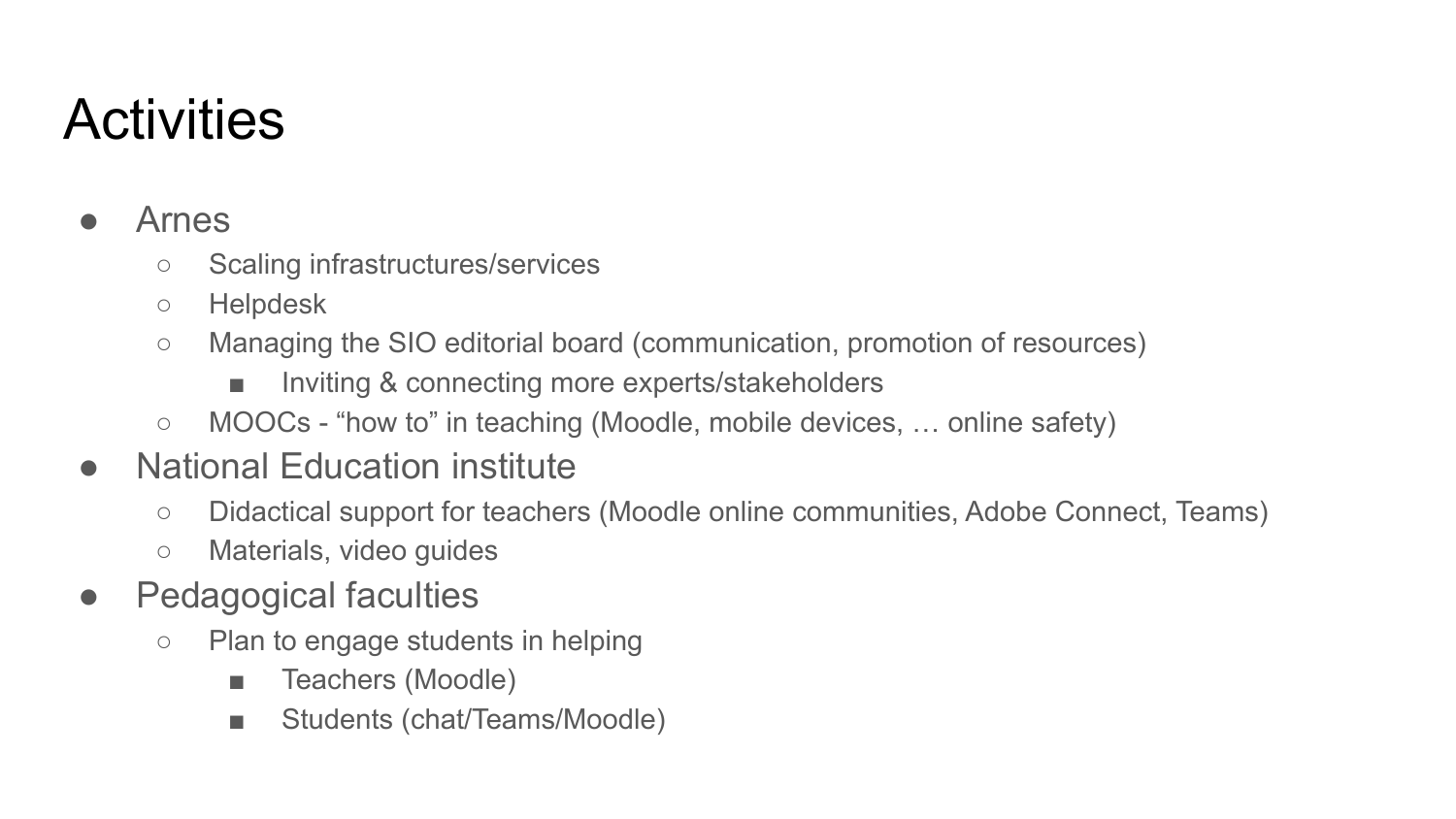# **Activities**

#### **Arnes**

- Scaling infrastructures/services
- Helpdesk
- Managing the SIO editorial board (communication, promotion of resources)
	- Inviting & connecting more experts/stakeholders
- MOOCs "how to" in teaching (Moodle, mobile devices, ... online safety)

## ● National Education institute

- Didactical support for teachers (Moodle online communities, Adobe Connect, Teams)
- Materials, video guides
- Pedagogical faculties
	- Plan to engage students in helping
		- Teachers (Moodle)
		- Students (chat/Teams/Moodle)